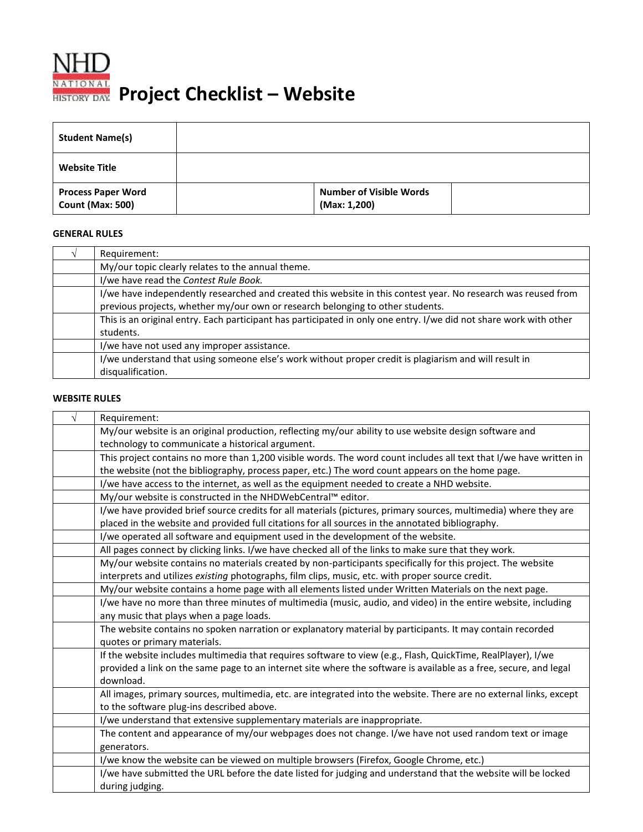

 **Project Checklist – Website**

| <b>Student Name(s)</b>                               |                                                |  |
|------------------------------------------------------|------------------------------------------------|--|
| <b>Website Title</b>                                 |                                                |  |
| <b>Process Paper Word</b><br><b>Count (Max: 500)</b> | <b>Number of Visible Words</b><br>(Max: 1,200) |  |

## **GENERAL RULES**

| Requirement:                                                                                                       |
|--------------------------------------------------------------------------------------------------------------------|
| My/our topic clearly relates to the annual theme.                                                                  |
| I/we have read the Contest Rule Book.                                                                              |
| I/we have independently researched and created this website in this contest year. No research was reused from      |
| previous projects, whether my/our own or research belonging to other students.                                     |
| This is an original entry. Each participant has participated in only one entry. I/we did not share work with other |
| students.                                                                                                          |
| I/we have not used any improper assistance.                                                                        |
| I/we understand that using someone else's work without proper credit is plagiarism and will result in              |
| disqualification.                                                                                                  |

## **WEBSITE RULES**

| Requirement:                                                                                                       |  |  |
|--------------------------------------------------------------------------------------------------------------------|--|--|
| My/our website is an original production, reflecting my/our ability to use website design software and             |  |  |
| technology to communicate a historical argument.                                                                   |  |  |
| This project contains no more than 1,200 visible words. The word count includes all text that I/we have written in |  |  |
| the website (not the bibliography, process paper, etc.) The word count appears on the home page.                   |  |  |
| I/we have access to the internet, as well as the equipment needed to create a NHD website.                         |  |  |
| My/our website is constructed in the NHDWebCentral™ editor.                                                        |  |  |
| I/we have provided brief source credits for all materials (pictures, primary sources, multimedia) where they are   |  |  |
| placed in the website and provided full citations for all sources in the annotated bibliography.                   |  |  |
| I/we operated all software and equipment used in the development of the website.                                   |  |  |
| All pages connect by clicking links. I/we have checked all of the links to make sure that they work.               |  |  |
| My/our website contains no materials created by non-participants specifically for this project. The website        |  |  |
| interprets and utilizes existing photographs, film clips, music, etc. with proper source credit.                   |  |  |
| My/our website contains a home page with all elements listed under Written Materials on the next page.             |  |  |
| I/we have no more than three minutes of multimedia (music, audio, and video) in the entire website, including      |  |  |
| any music that plays when a page loads.                                                                            |  |  |
| The website contains no spoken narration or explanatory material by participants. It may contain recorded          |  |  |
| quotes or primary materials.                                                                                       |  |  |
| If the website includes multimedia that requires software to view (e.g., Flash, QuickTime, RealPlayer), I/we       |  |  |
| provided a link on the same page to an internet site where the software is available as a free, secure, and legal  |  |  |
| download.                                                                                                          |  |  |
| All images, primary sources, multimedia, etc. are integrated into the website. There are no external links, except |  |  |
| to the software plug-ins described above.                                                                          |  |  |
| I/we understand that extensive supplementary materials are inappropriate.                                          |  |  |
| The content and appearance of my/our webpages does not change. I/we have not used random text or image             |  |  |
| generators.                                                                                                        |  |  |
| I/we know the website can be viewed on multiple browsers (Firefox, Google Chrome, etc.)                            |  |  |
| I/we have submitted the URL before the date listed for judging and understand that the website will be locked      |  |  |
| during judging.                                                                                                    |  |  |